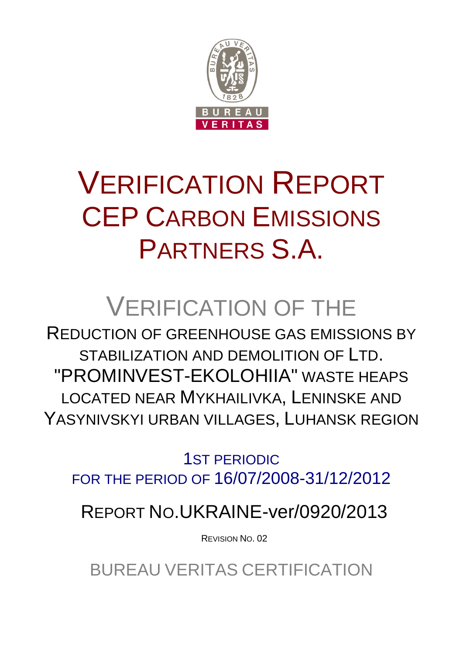

# VERIFICATION REPORT CEP CARBON EMISSIONS PARTNERS S.A.

# VERIFICATION OF THE

REDUCTION OF GREENHOUSE GAS EMISSIONS BY STABILIZATION AND DEMOLITION OF LTD. "PROMINVEST-EKOLOHIIA" WASTE HEAPS LOCATED NEAR MYKHAILIVKA, LENINSKE AND YASYNIVSKYI URBAN VILLAGES, LUHANSK REGION

1ST PERIODIC FOR THE PERIOD OF 16/07/2008-31/12/2012

REPORT NO.UKRAINE-ver/0920/2013

REVISION NO. 02

BUREAU VERITAS CERTIFICATION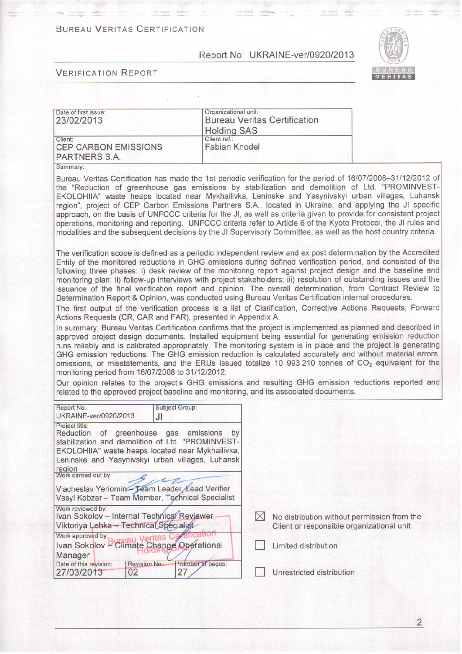#### **BUREAU VERITAS CERTIFICATION**

#### Report No: UKRAINE-ver/0920/2013



#### **VERIFICATION REPORT**

| Date of first issue:<br>23/02/2013                             | Organizational unit:<br><b>Bureau Veritas Certification</b><br><b>Holding SAS</b> |  |
|----------------------------------------------------------------|-----------------------------------------------------------------------------------|--|
| Client:<br><b>CEP CARBON EMISSIONS</b><br><b>PARTNERS S.A.</b> | Client ref.:<br><b>Fabian Knodel</b>                                              |  |

Summary:

Bureau Veritas Certification has made the 1st periodic verification for the period of 16/07/2008-31/12/2012 of the "Reduction of greenhouse gas emissions by stabilization and demolition of Ltd. "PROMINVEST-EKOLOHIIA" waste heaps located near Mykhailivka, Leninske and Yasynivskyi urban villages, Luhansk region", project of CEP Carbon Emissions Partners S.A., located in Ukraine, and applying the JI specific approach, on the basis of UNFCCC criteria for the JI, as well as criteria given to provide for consistent project operations, monitoring and reporting. UNFCCC criteria refer to Article 6 of the Kyoto Protocol, the JI rules and modalities and the subsequent decisions by the JI Supervisory Committee, as well as the host country criteria.

The verification scope is defined as a periodic independent review and ex post determination by the Accredited Entity of the monitored reductions in GHG emissions during defined verification period, and consisted of the following three phases: i) desk review of the monitoring report against project design and the baseline and monitoring plan; ii) follow-up interviews with project stakeholders; iii) resolution of outstanding issues and the issuance of the final verification report and opinion. The overall determination, from Contract Review to Determination Report & Opinion, was conducted using Bureau Veritas Certification internal procedures.

The first output of the verification process is a list of Clarification, Corrective Actions Requests, Forward Actions Requests (CR, CAR and FAR), presented in Appendix A.

In summary, Bureau Veritas Certification confirms that the project is implemented as planned and described in approved project design documents. Installed equipment being essential for generating emission reduction runs reliably and is calibrated appropriately. The monitoring system is in place and the project is generating GHG emission reductions. The GHG emission reduction is calculated accurately and without material errors, omissions, or misstatements, and the ERUs issued totalize 10 993 210 tonnes of CO<sub>2</sub> equivalent for the monitoring period from 16/07/2008 to 31/12/2012.

Our opinion relates to the project's GHG emissions and resulting GHG emission reductions reported and related to the approved project baseline and monitoring, and its associated documents.

| Report No:<br>UKRAINE-ver/0920/2013                                                                                                                                                                                            | <b>Subject Group:</b><br>JI |                                                                                          |
|--------------------------------------------------------------------------------------------------------------------------------------------------------------------------------------------------------------------------------|-----------------------------|------------------------------------------------------------------------------------------|
| Project title:<br>Reduction of greenhouse gas emissions<br>stabilization and demolition of Ltd. "PROMINVEST-<br>EKOLOHIIA" waste heaps located near Mykhailivka,<br>Leninske and Yasynivskyi urban villages, Luhansk<br>region | by                          |                                                                                          |
| Work carried out by:<br>Viacheslav Yeriomin-Team Leader Lead Verifier<br>Vasyl Kobzar - Team Member, Technical Specialist                                                                                                      |                             |                                                                                          |
| Work reviewed by:<br>Ivan Sokolov - Internal Technical Reviewer<br>Viktoriya Lehka - Technical Specialist                                                                                                                      |                             | No distribution without permission from the<br>Client or responsible organizational unit |
| Work approved by:<br>Ivan Sokolov - Climate Change Operational<br>Manager                                                                                                                                                      | Veritas                     | Limited distribution                                                                     |
| Revision No.:<br>Date of this revision:<br>27/03/2013<br>02                                                                                                                                                                    | Number of pages:<br>27      | Unrestricted distribution                                                                |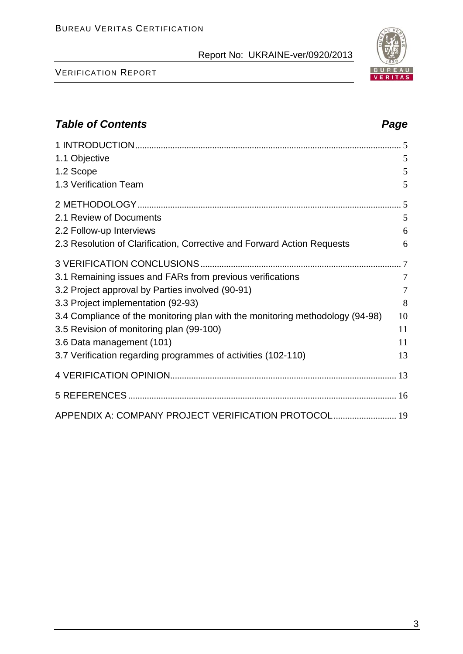#### VERIFICATION REPORT

# 3

# *Table of Contents Page*

| 1.1 Objective<br>1.2 Scope<br>1.3 Verification Team                                                                                                                                                                                                                                                                                                         | 5<br>5<br>5                  |
|-------------------------------------------------------------------------------------------------------------------------------------------------------------------------------------------------------------------------------------------------------------------------------------------------------------------------------------------------------------|------------------------------|
| 2.1 Review of Documents<br>2.2 Follow-up Interviews                                                                                                                                                                                                                                                                                                         | 5<br>6<br>6                  |
| 2.3 Resolution of Clarification, Corrective and Forward Action Requests<br>3.1 Remaining issues and FARs from previous verifications<br>3.2 Project approval by Parties involved (90-91)<br>3.3 Project implementation (92-93)<br>3.4 Compliance of the monitoring plan with the monitoring methodology (94-98)<br>3.5 Revision of monitoring plan (99-100) | 7<br>$\tau$<br>8<br>10<br>11 |
| 3.6 Data management (101)<br>3.7 Verification regarding programmes of activities (102-110)                                                                                                                                                                                                                                                                  | 11<br>13                     |
|                                                                                                                                                                                                                                                                                                                                                             |                              |
| APPENDIX A: COMPANY PROJECT VERIFICATION PROTOCOL 19                                                                                                                                                                                                                                                                                                        |                              |

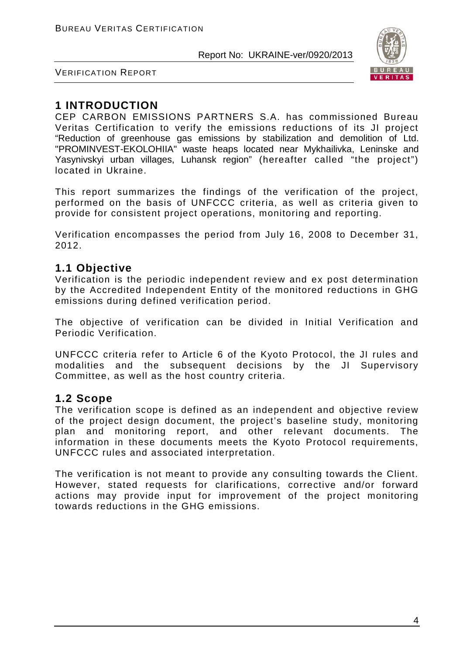

VERIFICATION REPORT

# **1 INTRODUCTION**

CEP CARBON EMISSIONS PARTNERS S.A. has commissioned Bureau Veritas Certification to verify the emissions reductions of its JI project "Reduction of greenhouse gas emissions by stabilization and demolition of Ltd. "PROMINVEST-EKOLOHIIA" waste heaps located near Mykhailivka, Leninske and Yasynivskyi urban villages, Luhansk region" (hereafter called "the project") located in Ukraine.

This report summarizes the findings of the verification of the project, performed on the basis of UNFCCC criteria, as well as criteria given to provide for consistent project operations, monitoring and reporting.

Verification encompasses the period from July 16, 2008 to December 31, 2012.

# **1.1 Objective**

Verification is the periodic independent review and ex post determination by the Accredited Independent Entity of the monitored reductions in GHG emissions during defined verification period.

The objective of verification can be divided in Initial Verification and Periodic Verification.

UNFCCC criteria refer to Article 6 of the Kyoto Protocol, the JI rules and modalities and the subsequent decisions by the JI Supervisory Committee, as well as the host country criteria.

## **1.2 Scope**

The verification scope is defined as an independent and objective review of the project design document, the project's baseline study, monitoring plan and monitoring report, and other relevant documents. The information in these documents meets the Kyoto Protocol requirements, UNFCCC rules and associated interpretation.

The verification is not meant to provide any consulting towards the Client. However, stated requests for clarifications, corrective and/or forward actions may provide input for improvement of the project monitoring towards reductions in the GHG emissions.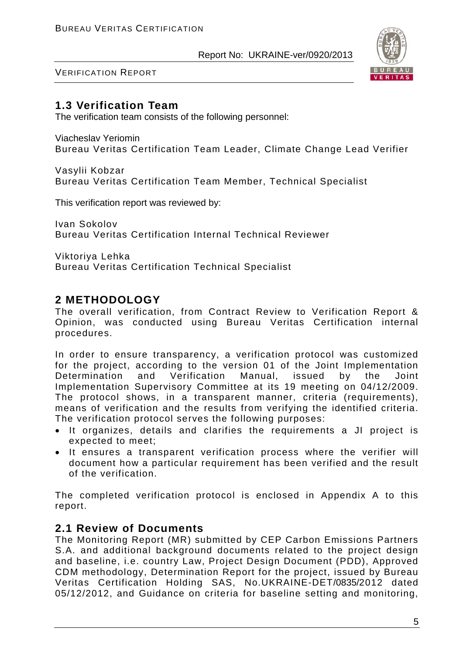

VERIFICATION REPORT

# **1.3 Verification Team**

The verification team consists of the following personnel:

Viacheslav Yeriomin Bureau Veritas Certification Team Leader, Climate Change Lead Verifier

Vasylii Kobzar Bureau Veritas Certification Team Member, Technical Specialist

This verification report was reviewed by:

Ivan Sokolov Bureau Veritas Certification Internal Technical Reviewer

Viktoriya Lehka Bureau Veritas Certification Technical Specialist

# **2 METHODOLOGY**

The overall verification, from Contract Review to Verification Report & Opinion, was conducted using Bureau Veritas Certification internal procedures.

In order to ensure transparency, a verification protocol was customized for the project, according to the version 01 of the Joint Implementation<br>Determination and Verification Manual, issued by the Joint Determination and Verification Manual, issued by the Joint Implementation Supervisory Committee at its 19 meeting on 04/12/2009. The protocol shows, in a transparent manner, criteria (requirements), means of verification and the results from verifying the identified criteria. The verification protocol serves the following purposes:

- It organizes, details and clarifies the requirements a JI project is expected to meet;
- It ensures a transparent verification process where the verifier will document how a particular requirement has been verified and the result of the verification.

The completed verification protocol is enclosed in Appendix A to this report.

# **2.1 Review of Documents**

The Monitoring Report (MR) submitted by CEP Carbon Emissions Partners S.A. and additional background documents related to the project design and baseline, i.e. country Law, Project Design Document (PDD), Approved CDM methodology, Determination Report for the project, issued by Bureau Veritas Certification Holding SAS, No.UKRAINE-DET/0835/2012 dated 05/12/2012, and Guidance on criteria for baseline setting and monitoring,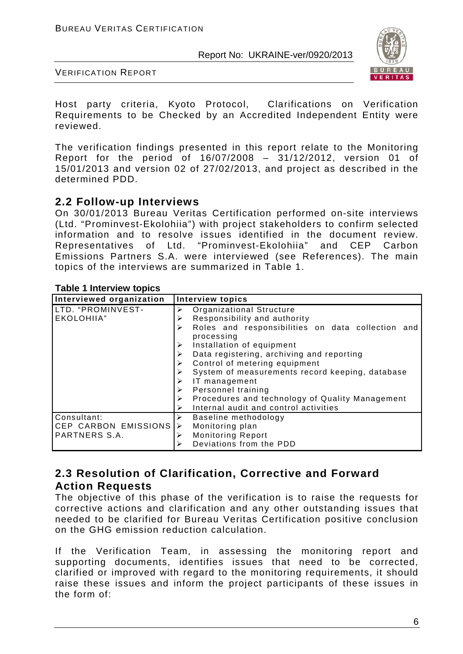

VERIFICATION REPORT

Host party criteria, Kyoto Protocol, Clarifications on Verification Requirements to be Checked by an Accredited Independent Entity were reviewed.

The verification findings presented in this report relate to the Monitoring Report for the period of 16/07/2008 – 31/12/2012, version 01 of 15/01/2013 and version 02 of 27/02/2013, and project as described in the determined PDD.

## **2.2 Follow-up Interviews**

On 30/01/2013 Bureau Veritas Certification performed on-site interviews (Ltd. "Prominvest-Ekolohiia") with project stakeholders to confirm selected information and to resolve issues identified in the document review. Representatives of Ltd. "Prominvest-Ekolohiia" Emissions Partners S.A. were interviewed (see References). The main topics of the interviews are summarized in Table 1.

#### **Table 1 Interview topics**

| Interviewed organization | <b>Interview topics</b>                                              |
|--------------------------|----------------------------------------------------------------------|
| LTD. "PROMINVEST-        | Organizational Structure<br>➤                                        |
| EKOLOHIIA"               | Responsibility and authority<br>≻                                    |
|                          | Roles and responsibilities on data collection and<br>➤<br>processing |
|                          | Installation of equipment                                            |
|                          | Data registering, archiving and reporting                            |
|                          | Control of metering equipment                                        |
|                          | System of measurements record keeping, database                      |
|                          | IT management<br>➤                                                   |
|                          | Personnel training<br>➤                                              |
|                          | Procedures and technology of Quality Management<br>➤                 |
|                          | Internal audit and control activities<br>➤                           |
| Consultant:              | Baseline methodology<br>⋗                                            |
| CEP CARBON EMISSIONS     | Monitoring plan<br>➤                                                 |
| PARTNERS S.A.            | <b>Monitoring Report</b><br>⋗                                        |
|                          | Deviations from the PDD                                              |

# **2.3 Resolution of Clarification, Corrective and Forward Action Requests**

The objective of this phase of the verification is to raise the requests for corrective actions and clarification and any other outstanding issues that needed to be clarified for Bureau Veritas Certification positive conclusion on the GHG emission reduction calculation.

If the Verification Team, in assessing the monitoring report and supporting documents, identifies issues that need to be corrected, clarified or improved with regard to the monitoring requirements, it should raise these issues and inform the project participants of these issues in the form of: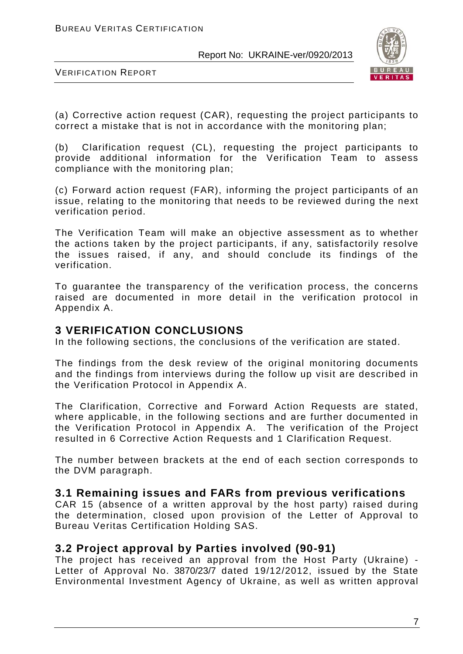

VERIFICATION REPORT

(a) Corrective action request (CAR), requesting the project participants to correct a mistake that is not in accordance with the monitoring plan;

(b) Clarification request (CL), requesting the project participants to provide additional information for the Verification Team to assess compliance with the monitoring plan;

(c) Forward action request (FAR), informing the project participants of an issue, relating to the monitoring that needs to be reviewed during the next verification period.

The Verification Team will make an objective assessment as to whether the actions taken by the project participants, if any, satisfactorily resolve the issues raised, if any, and should conclude its findings of the verification.

To guarantee the transparency of the verification process, the concerns raised are documented in more detail in the verification protocol in Appendix A.

#### **3 VERIFICATION CONCLUSIONS**

In the following sections, the conclusions of the verification are stated.

The findings from the desk review of the original monitoring documents and the findings from interviews during the follow up visit are described in the Verification Protocol in Appendix A.

The Clarification, Corrective and Forward Action Requests are stated, where applicable, in the following sections and are further documented in the Verification Protocol in Appendix A. The verification of the Project resulted in 6 Corrective Action Requests and 1 Clarification Request.

The number between brackets at the end of each section corresponds to the DVM paragraph.

## **3.1 Remaining issues and FARs from previous verifications**

CAR 15 (absence of a written approval by the host party) raised during the determination, closed upon provision of the Letter of Approval to Bureau Veritas Certification Holding SAS.

## **3.2 Project approval by Parties involved (90-91)**

The project has received an approval from the Host Party (Ukraine) - Letter of Approval No. 3870/23/7 dated 19/12/2012, issued by the State Environmental Investment Agency of Ukraine, as well as written approval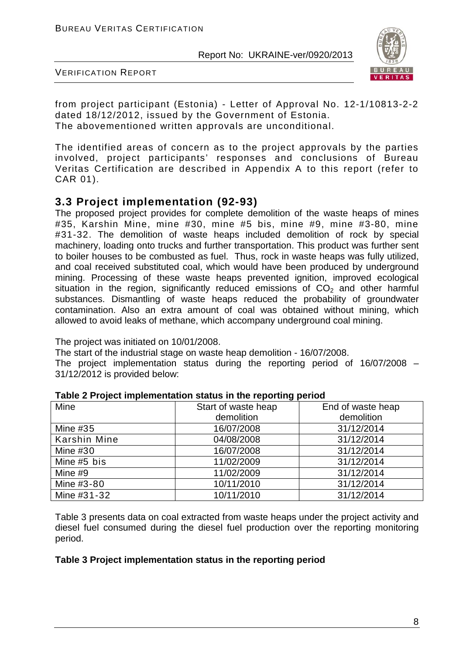

VERIFICATION REPORT

from project participant (Estonia) - Letter of Approval No. 12-1/10813-2-2 dated 18/12/2012, issued by the Government of Estonia. The abovementioned written approvals are unconditional.

The identified areas of concern as to the project approvals by the parties involved, project participants' responses and conclusions of Bureau Veritas Certification are described in Appendix A to this report (refer to CAR 01).

# **3.3 Project implementation (92-93)**

The proposed project provides for complete demolition of the waste heaps of mines #35, Karshin Mine, mine #30, mine #5 bis, mine #9, mine #3-80, mine #31-32. The demolition of waste heaps included demolition of rock by special machinery, loading onto trucks and further transportation. This product was further sent to boiler houses to be combusted as fuel. Thus, rock in waste heaps was fully utilized, and coal received substituted coal, which would have been produced by underground mining. Processing of these waste heaps prevented ignition, improved ecological situation in the region, significantly reduced emissions of  $CO<sub>2</sub>$  and other harmful substances. Dismantling of waste heaps reduced the probability of groundwater contamination. Also an extra amount of coal was obtained without mining, which allowed to avoid leaks of methane, which accompany underground coal mining.

The project was initiated on 10/01/2008.

The start of the industrial stage on waste heap demolition - 16/07/2008. The project implementation status during the reporting period of 16/07/2008 – 31/12/2012 is provided below:

|              | .                   |                   |
|--------------|---------------------|-------------------|
| Mine         | Start of waste heap | End of waste heap |
|              | demolition          | demolition        |
| Mine $#35$   | 16/07/2008          | 31/12/2014        |
| Karshin Mine | 04/08/2008          | 31/12/2014        |
| Mine $#30$   | 16/07/2008          | 31/12/2014        |
| Mine #5 bis  | 11/02/2009          | 31/12/2014        |
| Mine #9      | 11/02/2009          | 31/12/2014        |
| Mine #3-80   | 10/11/2010          | 31/12/2014        |
| Mine #31-32  | 10/11/2010          | 31/12/2014        |

#### **Table 2 Project implementation status in the reporting period**

Table 3 presents data on coal extracted from waste heaps under the project activity and diesel fuel consumed during the diesel fuel production over the reporting monitoring period.

#### **Table 3 Project implementation status in the reporting period**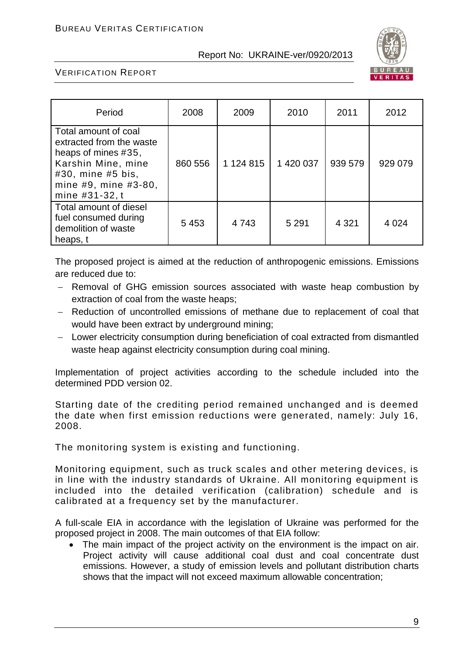

#### VERIFICATION REPORT

| Period                                                                                                                                                       | 2008    | 2009          | 2010      | 2011    | 2012    |
|--------------------------------------------------------------------------------------------------------------------------------------------------------------|---------|---------------|-----------|---------|---------|
| Total amount of coal<br>extracted from the waste<br>heaps of mines #35,<br>Karshin Mine, mine<br>#30, mine #5 bis,<br>mine #9, mine #3-80,<br>mine #31-32, t | 860 556 | 1 1 2 4 8 1 5 | 1 420 037 | 939 579 | 929 079 |
| Total amount of diesel<br>fuel consumed during<br>demolition of waste<br>heaps, t                                                                            | 5453    | 4 7 4 3       | 5 2 9 1   | 4 3 2 1 | 4 0 24  |

The proposed project is aimed at the reduction of anthropogenic emissions. Emissions are reduced due to:

- − Removal of GHG emission sources associated with waste heap combustion by extraction of coal from the waste heaps;
- − Reduction of uncontrolled emissions of methane due to replacement of coal that would have been extract by underground mining;
- − Lower electricity consumption during beneficiation of coal extracted from dismantled waste heap against electricity consumption during coal mining.

Implementation of project activities according to the schedule included into the determined PDD version 02.

Starting date of the crediting period remained unchanged and is deemed the date when first emission reductions were generated, namely: July 16, 2008.

The monitoring system is existing and functioning.

Monitoring equipment, such as truck scales and other metering devices, is in line with the industry standards of Ukraine. All monitoring equipment is included into the detailed verification (calibration) schedule and is calibrated at a frequency set by the manufacturer.

A full-scale EIA in accordance with the legislation of Ukraine was performed for the proposed project in 2008. The main outcomes of that EIA follow:

• The main impact of the project activity on the environment is the impact on air. Project activity will cause additional coal dust and coal concentrate dust emissions. However, a study of emission levels and pollutant distribution charts shows that the impact will not exceed maximum allowable concentration;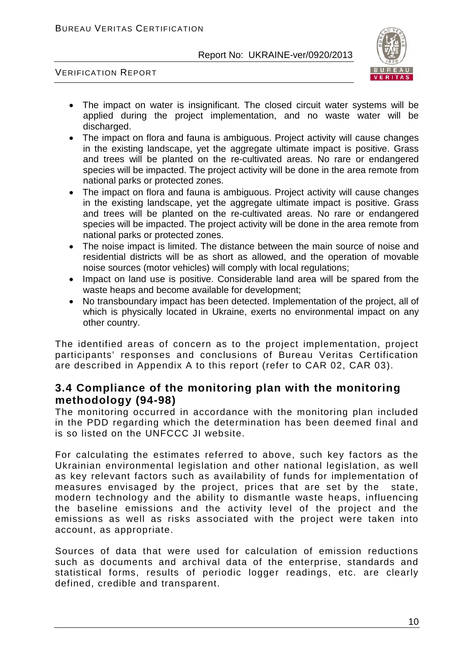

VERIFICATION REPORT

- The impact on water is insignificant. The closed circuit water systems will be applied during the project implementation, and no waste water will be discharged.
- The impact on flora and fauna is ambiguous. Project activity will cause changes in the existing landscape, yet the aggregate ultimate impact is positive. Grass and trees will be planted on the re-cultivated areas. No rare or endangered species will be impacted. The project activity will be done in the area remote from national parks or protected zones.
- The impact on flora and fauna is ambiguous. Project activity will cause changes in the existing landscape, yet the aggregate ultimate impact is positive. Grass and trees will be planted on the re-cultivated areas. No rare or endangered species will be impacted. The project activity will be done in the area remote from national parks or protected zones.
- The noise impact is limited. The distance between the main source of noise and residential districts will be as short as allowed, and the operation of movable noise sources (motor vehicles) will comply with local regulations;
- Impact on land use is positive. Considerable land area will be spared from the waste heaps and become available for development;
- No transboundary impact has been detected. Implementation of the project, all of which is physically located in Ukraine, exerts no environmental impact on any other country.

The identified areas of concern as to the project implementation, project participants' responses and conclusions of Bureau Veritas Certification are described in Appendix A to this report (refer to CAR 02, CAR 03).

# **3.4 Compliance of the monitoring plan with the monitoring methodology (94-98)**

The monitoring occurred in accordance with the monitoring plan included in the PDD regarding which the determination has been deemed final and is so listed on the UNFCCC JI website.

For calculating the estimates referred to above, such key factors as the Ukrainian environmental legislation and other national legislation, as well as key relevant factors such as availability of funds for implementation of measures envisaged by the project, prices that are set by the state, modern technology and the ability to dismantle waste heaps, influencing the baseline emissions and the activity level of the project and the emissions as well as risks associated with the project were taken into account, as appropriate.

Sources of data that were used for calculation of emission reductions such as documents and archival data of the enterprise, standards and statistical forms, results of periodic logger readings, etc. are clearly defined, credible and transparent.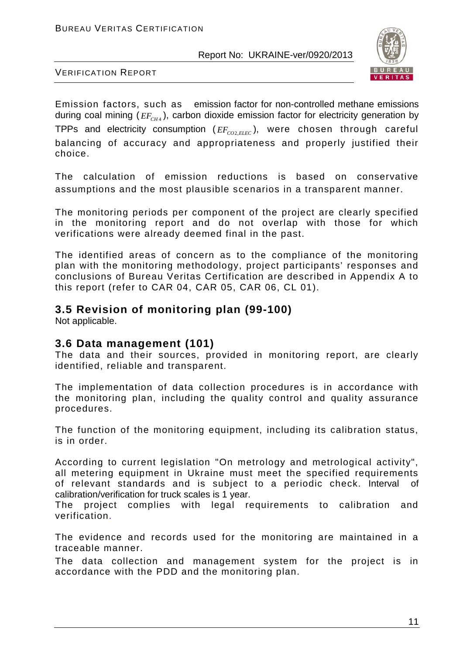

VERIFICATION REPORT

Emission factors, such as emission factor for non-controlled methane emissions during coal mining ( $EF_{CHA}$ ), carbon dioxide emission factor for electricity generation by TPPs and electricity consumption ( $EF_{CO2,ELEC}$ ), were chosen through careful balancing of accuracy and appropriateness and properly justified their choice.

The calculation of emission reductions is based on conservative assumptions and the most plausible scenarios in a transparent manner.

The monitoring periods per component of the project are clearly specified in the monitoring report and do not overlap with those for which verifications were already deemed final in the past.

The identified areas of concern as to the compliance of the monitoring plan with the monitoring methodology, project participants' responses and conclusions of Bureau Veritas Certification are described in Appendix A to this report (refer to CAR 04, CAR 05, CAR 06, CL 01).

# **3.5 Revision of monitoring plan (99-100)**

Not applicable.

## **3.6 Data management (101)**

The data and their sources, provided in monitoring report, are clearly identified, reliable and transparent.

The implementation of data collection procedures is in accordance with the monitoring plan, including the quality control and quality assurance procedures.

The function of the monitoring equipment, including its calibration status, is in order.

According to current legislation "On metrology and metrological activity", all metering equipment in Ukraine must meet the specified requirements of relevant standards and is subject to a periodic check. Interval of calibration/verification for truck scales is 1 year.

The project complies with legal requirements to calibration and verification.

The evidence and records used for the monitoring are maintained in a traceable manner.

The data collection and management system for the project is in accordance with the PDD and the monitoring plan.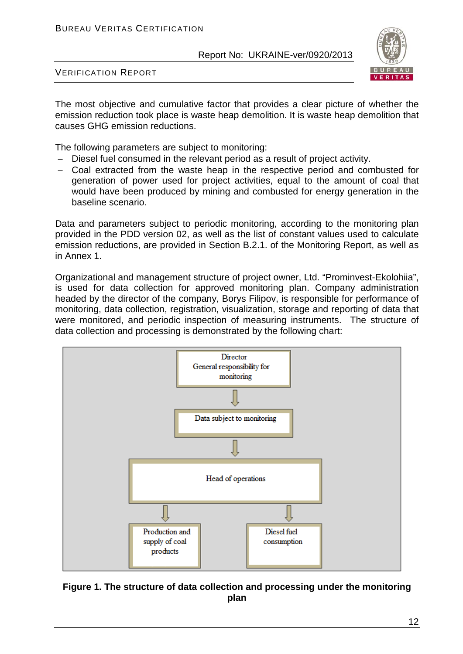

VERIFICATION REPORT

The most objective and cumulative factor that provides a clear picture of whether the emission reduction took place is waste heap demolition. It is waste heap demolition that causes GHG emission reductions.

The following parameters are subject to monitoring:

- − Diesel fuel consumed in the relevant period as a result of project activity.
- − Coal extracted from the waste heap in the respective period and combusted for generation of power used for project activities, equal to the amount of coal that would have been produced by mining and combusted for energy generation in the baseline scenario.

Data and parameters subject to periodic monitoring, according to the monitoring plan provided in the PDD version 02, as well as the list of constant values used to calculate emission reductions, are provided in Section B.2.1. of the Monitoring Report, as well as in Annex 1.

Organizational and management structure of project owner, Ltd. "Prominvest-Ekolohiia", is used for data collection for approved monitoring plan. Company administration headed by the director of the company, Borys Filipov, is responsible for performance of monitoring, data collection, registration, visualization, storage and reporting of data that were monitored, and periodic inspection of measuring instruments. The structure of data collection and processing is demonstrated by the following chart:



**Figure 1. The structure of data collection and processing under the monitoring plan**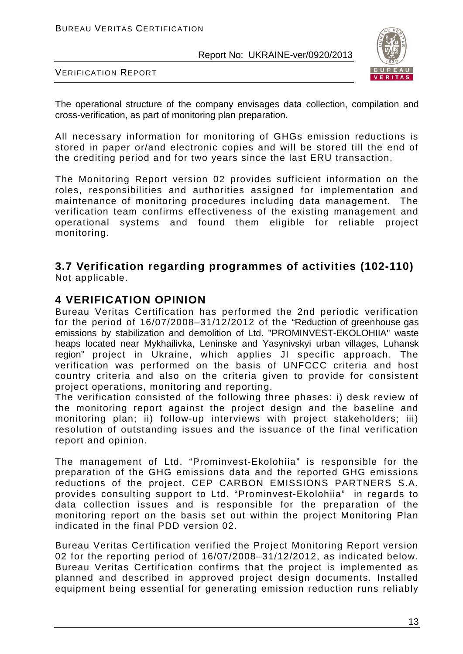

VERIFICATION REPORT

The operational structure of the company envisages data collection, compilation and cross-verification, as part of monitoring plan preparation.

All necessary information for monitoring of GHGs emission reductions is stored in paper or/and electronic copies and will be stored till the end of the crediting period and for two years since the last ERU transaction.

The Monitoring Report version 02 provides sufficient information on the roles, responsibilities and authorities assigned for implementation and maintenance of monitoring procedures including data management. The verification team confirms effectiveness of the existing management and operational systems and found them eligible for reliable project monitoring.

#### **3.7 Verification regarding programmes of activities (102-110)** Not applicable.

# **4 VERIFICATION OPINION**

Bureau Veritas Certification has performed the 2nd periodic verification for the period of 16/07/2008–31/12/2012 of the "Reduction of greenhouse gas emissions by stabilization and demolition of Ltd. "PROMINVEST-EKOLOHIIA" waste heaps located near Mykhailivka, Leninske and Yasynivskyi urban villages, Luhansk region" project in Ukraine, which applies JI specific approach. The verification was performed on the basis of UNFCCC criteria and host country criteria and also on the criteria given to provide for consistent project operations, monitoring and reporting.

The verification consisted of the following three phases: i) desk review of the monitoring report against the project design and the baseline and monitoring plan; ii) follow-up interviews with project stakeholders; iii) resolution of outstanding issues and the issuance of the final verification report and opinion.

The management of Ltd. "Prominvest-Ekolohiia" is responsible for the preparation of the GHG emissions data and the reported GHG emissions reductions of the project. CEP CARBON EMISSIONS PARTNERS S.A. provides consulting support to Ltd. "Prominvest-Ekolohiia" in regards to data collection issues and is responsible for the preparation of the monitoring report on the basis set out within the project Monitoring Plan indicated in the final PDD version 02.

Bureau Veritas Certification verified the Project Monitoring Report version 02 for the reporting period of 16/07/2008–31/12/2012, as indicated below. Bureau Veritas Certification confirms that the project is implemented as planned and described in approved project design documents. Installed equipment being essential for generating emission reduction runs reliably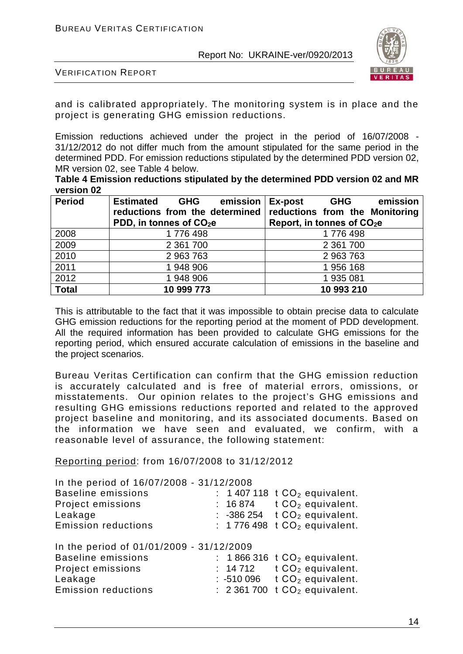

VERIFICATION REPORT

and is calibrated appropriately. The monitoring system is in place and the project is generating GHG emission reductions.

Emission reductions achieved under the project in the period of 16/07/2008 - 31/12/2012 do not differ much from the amount stipulated for the same period in the determined PDD. For emission reductions stipulated by the determined PDD version 02, MR version 02, see Table 4 below.

**Table 4 Emission reductions stipulated by the determined PDD version 02 and MR version 02**

| <b>Period</b> | <b>Estimated</b><br>emission   Ex-post<br><b>GHG</b><br>reductions from the determined<br>PDD, in tonnes of CO <sub>2</sub> e | emission<br>GHG<br>reductions from the Monitoring<br>Report, in tonnes of CO <sub>2</sub> e |
|---------------|-------------------------------------------------------------------------------------------------------------------------------|---------------------------------------------------------------------------------------------|
| 2008          | 1776 498                                                                                                                      | 1776 498                                                                                    |
| 2009          | 2 3 61 700                                                                                                                    | 2 361 700                                                                                   |
| 2010          | 2 963 763                                                                                                                     | 2 963 763                                                                                   |
| 2011          | 1 948 906                                                                                                                     | 1956 168                                                                                    |
| 2012          | 1 948 906                                                                                                                     | 1 935 081                                                                                   |
| <b>Total</b>  | 10 999 773                                                                                                                    | 10 993 210                                                                                  |

This is attributable to the fact that it was impossible to obtain precise data to calculate GHG emission reductions for the reporting period at the moment of PDD development. All the required information has been provided to calculate GHG emissions for the reporting period, which ensured accurate calculation of emissions in the baseline and the project scenarios.

Bureau Veritas Certification can confirm that the GHG emission reduction is accurately calculated and is free of material errors, omissions, or misstatements. Our opinion relates to the project's GHG emissions and resulting GHG emissions reductions reported and related to the approved project baseline and monitoring, and its associated documents. Based on the information we have seen and evaluated, we confirm, with a reasonable level of assurance, the following statement:

Reporting period: from 16/07/2008 to 31/12/2012

| In the period of 16/07/2008 - 31/12/2008                              |         |                                                    |
|-----------------------------------------------------------------------|---------|----------------------------------------------------|
| <b>Baseline emissions</b>                                             |         | : 1 407 118 $tCO2$ equivalent.                     |
| Project emissions                                                     |         | : $16874$ t $CO2$ equivalent.                      |
| Leakage                                                               |         | : -386 254 $tCO2$ equivalent.                      |
| <b>Emission reductions</b>                                            |         | : 1776 498 $tCO2$ equivalent.                      |
|                                                                       |         |                                                    |
| In the period of 01/01/2009 - 31/12/2009<br><b>Baseline emissions</b> |         | : $1866316$ t $CO2$ equivalent.                    |
| Project emissions                                                     | : 14712 | $tCO2$ equivalent.                                 |
| Leakage                                                               |         | $: -510096$ t $CO2$ equivalent.                    |
| <b>Emission reductions</b>                                            |         | $\therefore$ 2361700 t CO <sub>2</sub> equivalent. |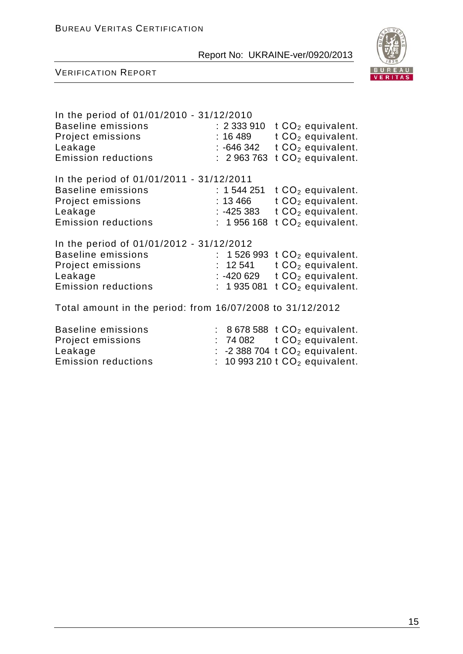

| In the period of 01/01/2010 - 31/12/2010<br><b>Baseline emissions</b><br>Project emissions<br>Leakage<br><b>Emission reductions</b> | :~2~333~910<br>t $CO2$ equivalent.<br>t $CO2$ equivalent.<br>:16 489<br>t $CO2$ equivalent.<br>:-646 342<br>t $CO2$ equivalent.<br>: 2963763                         |
|-------------------------------------------------------------------------------------------------------------------------------------|----------------------------------------------------------------------------------------------------------------------------------------------------------------------|
| In the period of 01/01/2011 - 31/12/2011<br><b>Baseline emissions</b><br>Project emissions<br>Leakage<br><b>Emission reductions</b> | : 1544251<br>$tCO2$ equivalent.<br>t $CO2$ equivalent.<br>:13 466<br>t $CO2$ equivalent.<br>:-425 383<br>t $CO2$ equivalent.<br>1956 168                             |
| In the period of 01/01/2012 - 31/12/2012<br><b>Baseline emissions</b><br>Project emissions<br>Leakage<br><b>Emission reductions</b> | 1526 993 $tCO2$ equivalent.<br>t $CO2$ equivalent.<br>12 541<br>t $CO2$ equivalent.<br>:-420 629<br>t $CO2$ equivalent.<br>1935081                                   |
| Total amount in the period: from 16/07/2008 to 31/12/2012                                                                           |                                                                                                                                                                      |
| <b>Baseline emissions</b><br>Project emissions<br>Leakage<br><b>Emission reductions</b>                                             | $: 8678588$ t $CO2$ equivalent.<br>74 082 $tCO2$ equivalent.<br>t.<br>-2 388 704 $t$ CO <sub>2</sub> equivalent.<br>t.<br>10 993 210 $t$ CO <sub>2</sub> equivalent. |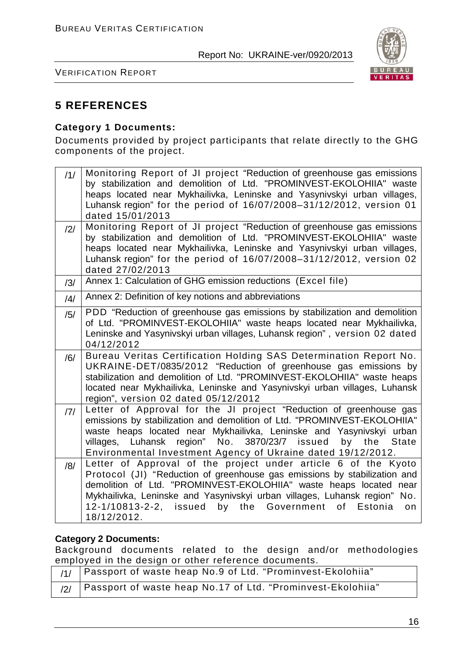

VERIFICATION REPORT

# **5 REFERENCES**

#### **Category 1 Documents:**

Documents provided by project participants that relate directly to the GHG components of the project.

| /1/            | Monitoring Report of JI project "Reduction of greenhouse gas emissions<br>by stabilization and demolition of Ltd. "PROMINVEST-EKOLOHIIA" waste<br>heaps located near Mykhailivka, Leninske and Yasynivskyi urban villages,<br>Luhansk region" for the period of 16/07/2008-31/12/2012, version 01<br>dated 15/01/2013                                                         |
|----------------|-------------------------------------------------------------------------------------------------------------------------------------------------------------------------------------------------------------------------------------------------------------------------------------------------------------------------------------------------------------------------------|
| $\frac{12}{1}$ | Monitoring Report of JI project "Reduction of greenhouse gas emissions<br>by stabilization and demolition of Ltd. "PROMINVEST-EKOLOHIIA" waste<br>heaps located near Mykhailivka, Leninske and Yasynivskyi urban villages,<br>Luhansk region" for the period of 16/07/2008-31/12/2012, version 02<br>dated 27/02/2013                                                         |
| /3/            | Annex 1: Calculation of GHG emission reductions (Excel file)                                                                                                                                                                                                                                                                                                                  |
| /4/            | Annex 2: Definition of key notions and abbreviations                                                                                                                                                                                                                                                                                                                          |
| /5/            | PDD "Reduction of greenhouse gas emissions by stabilization and demolition<br>of Ltd. "PROMINVEST-EKOLOHIIA" waste heaps located near Mykhailivka,<br>Leninske and Yasynivskyi urban villages, Luhansk region", version 02 dated<br>04/12/2012                                                                                                                                |
| /6/            | Bureau Veritas Certification Holding SAS Determination Report No.<br>UKRAINE-DET/0835/2012 "Reduction of greenhouse gas emissions by<br>stabilization and demolition of Ltd. "PROMINVEST-EKOLOHIIA" waste heaps<br>located near Mykhailivka, Leninske and Yasynivskyi urban villages, Luhansk<br>region", version 02 dated 05/12/2012                                         |
| 7              | Letter of Approval for the JI project "Reduction of greenhouse gas<br>emissions by stabilization and demolition of Ltd. "PROMINVEST-EKOLOHIIA"<br>waste heaps located near Mykhailivka, Leninske and Yasynivskyi urban<br>region" No. 3870/23/7 issued<br>villages, Luhansk<br>by the<br><b>State</b><br>Environmental Investment Agency of Ukraine dated 19/12/2012.         |
| /8/            | Letter of Approval of the project under article 6 of the Kyoto<br>Protocol (JI) "Reduction of greenhouse gas emissions by stabilization and<br>demolition of Ltd. "PROMINVEST-EKOLOHIIA" waste heaps located near<br>Mykhailivka, Leninske and Yasynivskyi urban villages, Luhansk region" No.<br>12-1/10813-2-2, issued by the Government of<br>Estonia<br>on<br>18/12/2012. |

#### **Category 2 Documents:**

Background documents related to the design and/or methodologies employed in the design or other reference documents.

| $1/1/$   Passport of waste heap No.9 of Ltd. "Prominvest-Ekolohiia" |
|---------------------------------------------------------------------|
| /2/ Passport of waste heap No. 17 of Ltd. "Prominvest-Ekolohiia"    |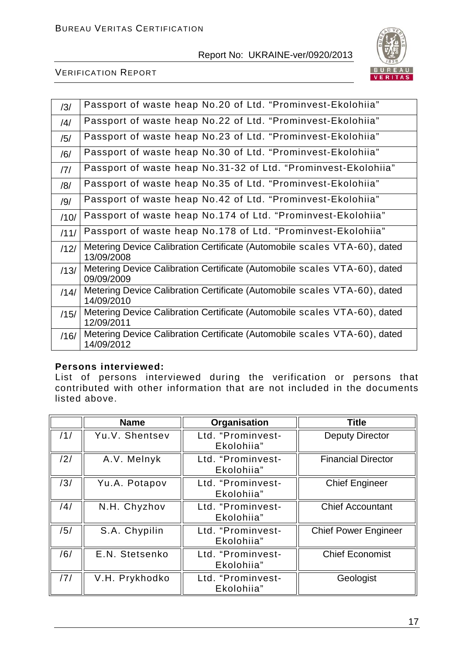

#### VERIFICATION REPORT

| /3/            | Passport of waste heap No.20 of Ltd. "Prominvest-Ekolohiia"                             |
|----------------|-----------------------------------------------------------------------------------------|
| $\frac{14}{1}$ | Passport of waste heap No.22 of Ltd. "Prominvest-Ekolohiia"                             |
| /5/            | Passport of waste heap No.23 of Ltd. "Prominvest-Ekolohiia"                             |
| /6/            | Passport of waste heap No.30 of Ltd. "Prominvest-Ekolohiia"                             |
| 7              | Passport of waste heap No.31-32 of Ltd. "Prominvest-Ekolohiia"                          |
| /8/            | Passport of waste heap No.35 of Ltd. "Prominvest-Ekolohiia"                             |
| /9/            | Passport of waste heap No.42 of Ltd. "Prominvest-Ekolohiia"                             |
| /10/           | Passport of waste heap No.174 of Ltd. "Prominvest-Ekolohiia"                            |
| /11/           | Passport of waste heap No.178 of Ltd. "Prominvest-Ekolohiia"                            |
| /12/           | Metering Device Calibration Certificate (Automobile scales VTA-60), dated<br>13/09/2008 |
| /13/           | Metering Device Calibration Certificate (Automobile scales VTA-60), dated<br>09/09/2009 |
| /14/           | Metering Device Calibration Certificate (Automobile scales VTA-60), dated<br>14/09/2010 |
| /15/           | Metering Device Calibration Certificate (Automobile scales VTA-60), dated<br>12/09/2011 |
| /16/           | Metering Device Calibration Certificate (Automobile scales VTA-60), dated<br>14/09/2012 |

#### **Persons interviewed:**

List of persons interviewed during the verification or persons that contributed with other information that are not included in the documents listed above.

|     | <b>Name</b>    | Organisation                    | <b>Title</b>                |
|-----|----------------|---------------------------------|-----------------------------|
| /1/ | Yu.V. Shentsev | Ltd. "Prominvest-<br>Ekolohiia" | <b>Deputy Director</b>      |
| /2/ | A.V. Melnyk    | Ltd. "Prominvest-<br>Ekolohiia" | <b>Financial Director</b>   |
| /3/ | Yu.A. Potapov  | Ltd. "Prominvest-<br>Ekolohiia" | <b>Chief Engineer</b>       |
| /4/ | N.H. Chyzhov   | Ltd. "Prominvest-<br>Ekolohiia" | <b>Chief Accountant</b>     |
| /5/ | S.A. Chypilin  | Ltd. "Prominvest-<br>Ekolohiia" | <b>Chief Power Engineer</b> |
| /6/ | E.N. Stetsenko | Ltd. "Prominvest-<br>Ekolohiia" | <b>Chief Economist</b>      |
| /7/ | V.H. Prykhodko | Ltd. "Prominvest-<br>Ekolohiia" | Geologist                   |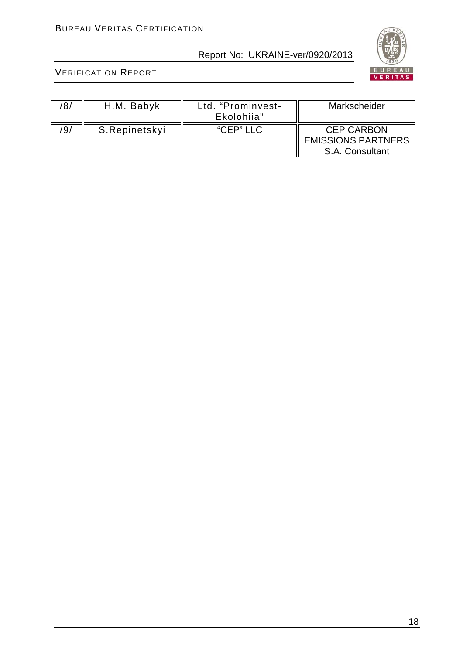

| 8/  | H.M. Babyk    | Ltd. "Prominvest-<br>Ekolohiia" | Markscheider                                                      |
|-----|---------------|---------------------------------|-------------------------------------------------------------------|
| '9/ | S.Repinetskyi | "CEP" LLC                       | <b>CEP CARBON</b><br><b>EMISSIONS PARTNERS</b><br>S.A. Consultant |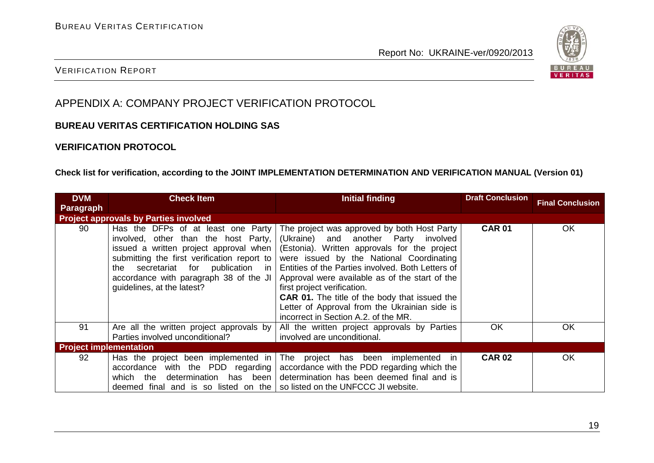

#### VERIFICATION REPORT

# APPENDIX A: COMPANY PROJECT VERIFICATION PROTOCOL

#### **BUREAU VERITAS CERTIFICATION HOLDING SAS**

#### **VERIFICATION PROTOCOL**

#### **Check list for verification, according to the JOINT IMPLEMENTATION DETERMINATION AND VERIFICATION MANUAL (Version 01)**

| <b>DVM</b>                    | <b>Check Item</b>                                                                                                                                                                                                                                                                   | <b>Initial finding</b>                                                                                                                                                                                                                                                                                                                                                                                                                                                 | <b>Draft Conclusion</b> |                         |
|-------------------------------|-------------------------------------------------------------------------------------------------------------------------------------------------------------------------------------------------------------------------------------------------------------------------------------|------------------------------------------------------------------------------------------------------------------------------------------------------------------------------------------------------------------------------------------------------------------------------------------------------------------------------------------------------------------------------------------------------------------------------------------------------------------------|-------------------------|-------------------------|
| <b>Paragraph</b>              |                                                                                                                                                                                                                                                                                     |                                                                                                                                                                                                                                                                                                                                                                                                                                                                        |                         | <b>Final Conclusion</b> |
|                               | <b>Project approvals by Parties involved</b>                                                                                                                                                                                                                                        |                                                                                                                                                                                                                                                                                                                                                                                                                                                                        |                         |                         |
| 90                            | Has the DFPs of at least one Party<br>involved, other than the host Party,<br>issued a written project approval when  <br>submitting the first verification report to<br>the secretariat for publication in<br>accordance with paragraph 38 of the JI<br>guidelines, at the latest? | The project was approved by both Host Party<br>(Ukraine) and another Party involved<br>(Estonia). Written approvals for the project<br>were issued by the National Coordinating<br>Entities of the Parties involved. Both Letters of<br>Approval were available as of the start of the<br>first project verification.<br><b>CAR 01.</b> The title of the body that issued the<br>Letter of Approval from the Ukrainian side is<br>incorrect in Section A.2. of the MR. | <b>CAR 01</b>           | <b>OK</b>               |
| 91                            | Are all the written project approvals by<br>Parties involved unconditional?                                                                                                                                                                                                         | All the written project approvals by Parties<br>involved are unconditional.                                                                                                                                                                                                                                                                                                                                                                                            | OK                      | OK                      |
| <b>Project implementation</b> |                                                                                                                                                                                                                                                                                     |                                                                                                                                                                                                                                                                                                                                                                                                                                                                        |                         |                         |
| 92                            | Has the project been implemented in<br>accordance with the PDD regarding<br>determination has been<br>which the<br>deemed final and is so listed on the $\vert$ so listed on the UNFCCC JI website.                                                                                 | The project has been<br>implemented in<br>accordance with the PDD regarding which the<br>determination has been deemed final and is                                                                                                                                                                                                                                                                                                                                    | <b>CAR 02</b>           | OK                      |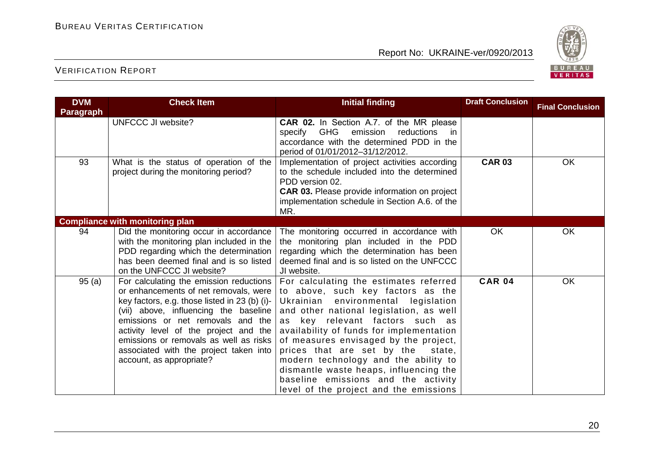

| <b>DVM</b>       | <b>Check Item</b>                                                                                                                                                                                                                                                                                                                                                        | <b>Initial finding</b>                                                                                                                                                                                                                                                                                                                                                                                                                                                                                 | <b>Draft Conclusion</b> | <b>Final Conclusion</b> |
|------------------|--------------------------------------------------------------------------------------------------------------------------------------------------------------------------------------------------------------------------------------------------------------------------------------------------------------------------------------------------------------------------|--------------------------------------------------------------------------------------------------------------------------------------------------------------------------------------------------------------------------------------------------------------------------------------------------------------------------------------------------------------------------------------------------------------------------------------------------------------------------------------------------------|-------------------------|-------------------------|
| <b>Paragraph</b> | <b>UNFCCC JI website?</b>                                                                                                                                                                                                                                                                                                                                                | CAR 02. In Section A.7. of the MR please<br>specify GHG<br>emission reductions<br>in.<br>accordance with the determined PDD in the<br>period of 01/01/2012-31/12/2012.                                                                                                                                                                                                                                                                                                                                 |                         |                         |
| 93               | What is the status of operation of the<br>project during the monitoring period?                                                                                                                                                                                                                                                                                          | Implementation of project activities according<br>to the schedule included into the determined<br>PDD version 02.<br><b>CAR 03.</b> Please provide information on project<br>implementation schedule in Section A.6. of the<br>MR.                                                                                                                                                                                                                                                                     | <b>CAR 03</b>           | OK                      |
|                  | <b>Compliance with monitoring plan</b>                                                                                                                                                                                                                                                                                                                                   |                                                                                                                                                                                                                                                                                                                                                                                                                                                                                                        |                         |                         |
| 94               | Did the monitoring occur in accordance<br>with the monitoring plan included in the<br>PDD regarding which the determination<br>has been deemed final and is so listed<br>on the UNFCCC JI website?                                                                                                                                                                       | The monitoring occurred in accordance with<br>the monitoring plan included in the PDD<br>regarding which the determination has been<br>deemed final and is so listed on the UNFCCC<br>JI website.                                                                                                                                                                                                                                                                                                      | <b>OK</b>               | OK                      |
| 95(a)            | For calculating the emission reductions<br>or enhancements of net removals, were<br>key factors, e.g. those listed in 23 (b) (i)-<br>(vii) above, influencing the baseline<br>emissions or net removals and the<br>activity level of the project and the<br>emissions or removals as well as risks<br>associated with the project taken into<br>account, as appropriate? | For calculating the estimates referred<br>to above, such key factors as the<br>Ukrainian<br>environmental<br>legislation<br>and other national legislation, as well<br>as key relevant factors such as<br>availability of funds for implementation<br>of measures envisaged by the project,<br>prices that are set by the<br>state,<br>modern technology and the ability to<br>dismantle waste heaps, influencing the<br>baseline emissions and the activity<br>level of the project and the emissions | <b>CAR 04</b>           | OK                      |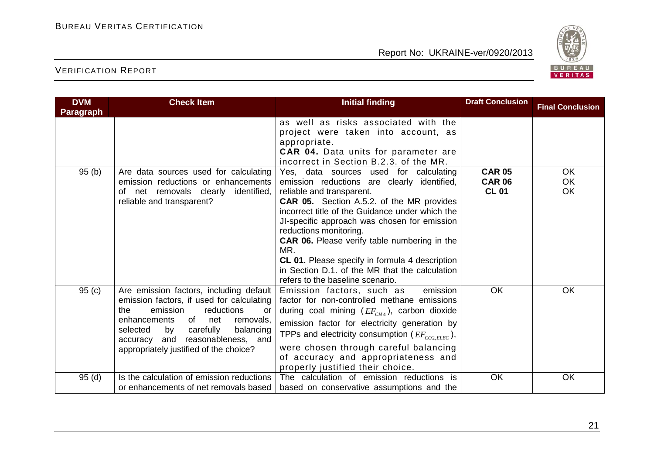

| <b>DVM</b>       | <b>Check Item</b>                                                                                                                                                                                                                                                                                     | <b>Initial finding</b>                                                                                                                                                                                                                                                                                                                                                                                                                                                                                           | <b>Draft Conclusion</b>                        | <b>Final Conclusion</b>      |
|------------------|-------------------------------------------------------------------------------------------------------------------------------------------------------------------------------------------------------------------------------------------------------------------------------------------------------|------------------------------------------------------------------------------------------------------------------------------------------------------------------------------------------------------------------------------------------------------------------------------------------------------------------------------------------------------------------------------------------------------------------------------------------------------------------------------------------------------------------|------------------------------------------------|------------------------------|
| <b>Paragraph</b> |                                                                                                                                                                                                                                                                                                       |                                                                                                                                                                                                                                                                                                                                                                                                                                                                                                                  |                                                |                              |
|                  |                                                                                                                                                                                                                                                                                                       | as well as risks associated with the<br>project were taken into account, as<br>appropriate.<br>CAR 04. Data units for parameter are<br>incorrect in Section B.2.3. of the MR.                                                                                                                                                                                                                                                                                                                                    |                                                |                              |
| 95(b)            | Are data sources used for calculating<br>emission reductions or enhancements<br>net removals clearly<br>identified,<br>of<br>reliable and transparent?                                                                                                                                                | Yes, data sources used for calculating<br>emission reductions are clearly identified,<br>reliable and transparent.<br><b>CAR 05.</b> Section A.5.2. of the MR provides<br>incorrect title of the Guidance under which the<br>JI-specific approach was chosen for emission<br>reductions monitoring.<br><b>CAR 06.</b> Please verify table numbering in the<br>MR.<br><b>CL 01.</b> Please specify in formula 4 description<br>in Section D.1. of the MR that the calculation<br>refers to the baseline scenario. | <b>CAR 05</b><br><b>CAR 06</b><br><b>CL 01</b> | <b>OK</b><br>OK<br><b>OK</b> |
| 95(c)            | Are emission factors, including default<br>emission factors, if used for calculating<br>the<br>emission<br>reductions<br>or<br>enhancements<br>of<br>net<br>removals,<br>carefully<br>balancing<br>selected<br>by<br>and<br>reasonableness, and<br>accuracy<br>appropriately justified of the choice? | Emission factors, such as<br>emission<br>factor for non-controlled methane emissions<br>during coal mining $(EF_{CH4})$ , carbon dioxide<br>emission factor for electricity generation by<br>TPPs and electricity consumption ( $EF_{CO2 EIEC}$ ),<br>were chosen through careful balancing<br>of accuracy and appropriateness and<br>properly justified their choice.                                                                                                                                           | <b>OK</b>                                      | OK                           |
| 95(d)            | Is the calculation of emission reductions<br>or enhancements of net removals based                                                                                                                                                                                                                    | The calculation of emission reductions is<br>based on conservative assumptions and the                                                                                                                                                                                                                                                                                                                                                                                                                           | OK                                             | OK                           |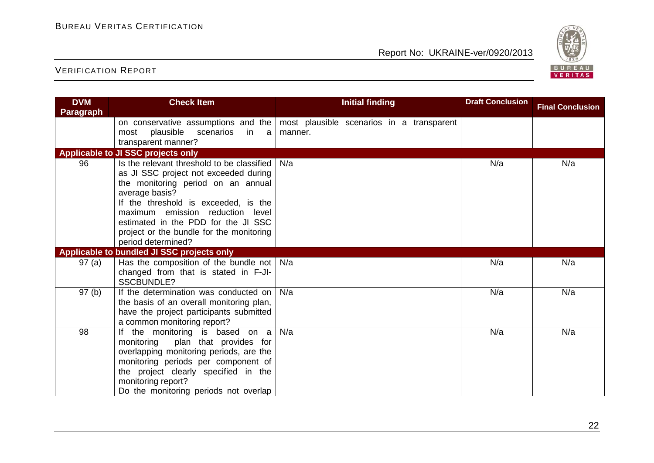

| <b>DVM</b>       | <b>Check Item</b>                                                                                                                                                                                                                                                                                                                | <b>Initial finding</b>                               | <b>Draft Conclusion</b> | <b>Final Conclusion</b> |
|------------------|----------------------------------------------------------------------------------------------------------------------------------------------------------------------------------------------------------------------------------------------------------------------------------------------------------------------------------|------------------------------------------------------|-------------------------|-------------------------|
| <b>Paragraph</b> |                                                                                                                                                                                                                                                                                                                                  |                                                      |                         |                         |
|                  | on conservative assumptions and the<br>plausible scenarios in a<br>most<br>transparent manner?                                                                                                                                                                                                                                   | most plausible scenarios in a transparent<br>manner. |                         |                         |
|                  | Applicable to JI SSC projects only                                                                                                                                                                                                                                                                                               |                                                      |                         |                         |
| 96               | Is the relevant threshold to be classified<br>as JI SSC project not exceeded during<br>the monitoring period on an annual<br>average basis?<br>If the threshold is exceeded, is the<br>maximum emission reduction level<br>estimated in the PDD for the JI SSC<br>project or the bundle for the monitoring<br>period determined? | N/a                                                  | N/a                     | N/a                     |
|                  | Applicable to bundled JI SSC projects only                                                                                                                                                                                                                                                                                       |                                                      |                         |                         |
| 97 (a)           | Has the composition of the bundle not<br>changed from that is stated in F-JI-<br><b>SSCBUNDLE?</b>                                                                                                                                                                                                                               | N/a                                                  | N/a                     | N/a                     |
| 97(b)            | If the determination was conducted on<br>the basis of an overall monitoring plan,<br>have the project participants submitted<br>a common monitoring report?                                                                                                                                                                      | N/a                                                  | N/a                     | N/a                     |
| 98               | If the monitoring is based on a<br>monitoring<br>plan that provides for<br>overlapping monitoring periods, are the<br>monitoring periods per component of<br>the project clearly specified in the<br>monitoring report?<br>Do the monitoring periods not overlap                                                                 | N/a                                                  | N/a                     | N/a                     |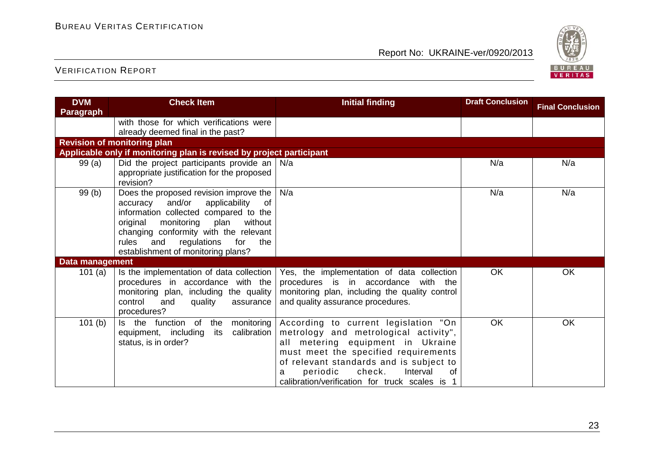

| <b>DVM</b>                         | <b>Check Item</b>                                                    | <b>Initial finding</b>                                         | <b>Draft Conclusion</b> | <b>Final Conclusion</b> |
|------------------------------------|----------------------------------------------------------------------|----------------------------------------------------------------|-------------------------|-------------------------|
| Paragraph                          |                                                                      |                                                                |                         |                         |
|                                    | with those for which verifications were                              |                                                                |                         |                         |
|                                    | already deemed final in the past?                                    |                                                                |                         |                         |
| <b>Revision of monitoring plan</b> |                                                                      |                                                                |                         |                         |
|                                    | Applicable only if monitoring plan is revised by project participant |                                                                |                         |                         |
| 99(a)                              | Did the project participants provide an $\vert$                      | N/a                                                            | N/a                     | N/a                     |
|                                    | appropriate justification for the proposed                           |                                                                |                         |                         |
|                                    | revision?                                                            |                                                                |                         |                         |
| 99(b)                              | Does the proposed revision improve the                               | N/a                                                            | N/a                     | N/a                     |
|                                    | and/or<br>applicability<br>accuracy<br>of                            |                                                                |                         |                         |
|                                    | information collected compared to the                                |                                                                |                         |                         |
|                                    | original<br>monitoring<br>plan<br>without                            |                                                                |                         |                         |
|                                    | changing conformity with the relevant                                |                                                                |                         |                         |
|                                    | rules<br>regulations<br>for<br>and<br>the                            |                                                                |                         |                         |
|                                    | establishment of monitoring plans?                                   |                                                                |                         |                         |
| Data management                    |                                                                      |                                                                |                         |                         |
| 101 $(a)$                          | Is the implementation of data collection                             | Yes, the implementation of data collection                     | <b>OK</b>               | OK                      |
|                                    | procedures in accordance with the                                    | procedures is in accordance<br>with the                        |                         |                         |
|                                    | monitoring plan, including the quality                               | monitoring plan, including the quality control                 |                         |                         |
|                                    | control<br>and<br>quality<br>assurance                               | and quality assurance procedures.                              |                         |                         |
|                                    | procedures?                                                          |                                                                |                         |                         |
| 101(b)                             | $\overline{of}$<br>the<br>monitoring<br>Is the function              | According to current legislation "On                           | <b>OK</b>               | OK                      |
|                                    | calibration<br>equipment, including<br>its                           | metrology and metrological activity",                          |                         |                         |
|                                    | status, is in order?                                                 | all metering equipment in Ukraine                              |                         |                         |
|                                    |                                                                      | must meet the specified requirements                           |                         |                         |
|                                    |                                                                      | of relevant standards and is subject to                        |                         |                         |
|                                    |                                                                      | check.<br>Interval<br>periodic<br>0f                           |                         |                         |
|                                    |                                                                      | calibration/verification for truck scales is<br>$\overline{1}$ |                         |                         |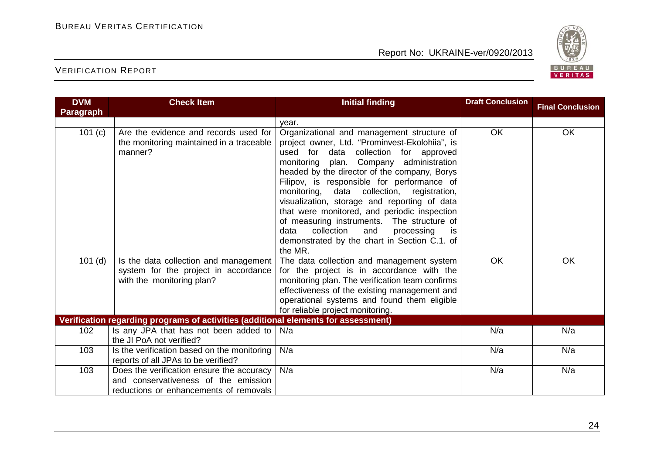

| <b>DVM</b>       | <b>Check Item</b>                                                                                                           | <b>Initial finding</b>                                                                                                                                                                                                                                                                                                                                                                                                                                                                                                                                                                        | <b>Draft Conclusion</b> | <b>Final Conclusion</b> |
|------------------|-----------------------------------------------------------------------------------------------------------------------------|-----------------------------------------------------------------------------------------------------------------------------------------------------------------------------------------------------------------------------------------------------------------------------------------------------------------------------------------------------------------------------------------------------------------------------------------------------------------------------------------------------------------------------------------------------------------------------------------------|-------------------------|-------------------------|
| <b>Paragraph</b> |                                                                                                                             |                                                                                                                                                                                                                                                                                                                                                                                                                                                                                                                                                                                               |                         |                         |
|                  |                                                                                                                             | year.                                                                                                                                                                                                                                                                                                                                                                                                                                                                                                                                                                                         |                         |                         |
| 101 (c)          | Are the evidence and records used for<br>the monitoring maintained in a traceable<br>manner?                                | Organizational and management structure of<br>project owner, Ltd. "Prominvest-Ekolohiia", is<br>used for data collection for approved<br>monitoring plan. Company administration<br>headed by the director of the company, Borys<br>Filipov, is responsible for performance of<br>monitoring, data collection, registration,<br>visualization, storage and reporting of data<br>that were monitored, and periodic inspection<br>of measuring instruments. The structure of<br>collection<br>and<br>processing<br>data<br><b>is</b><br>demonstrated by the chart in Section C.1. of<br>the MR. | OK                      | OK                      |
| $101$ (d)        | Is the data collection and management<br>system for the project in accordance<br>with the monitoring plan?                  | The data collection and management system<br>for the project is in accordance with the<br>monitoring plan. The verification team confirms<br>effectiveness of the existing management and<br>operational systems and found them eligible<br>for reliable project monitoring.                                                                                                                                                                                                                                                                                                                  | OK                      | OK                      |
|                  | Verification regarding programs of activities (additional elements for assessment)                                          |                                                                                                                                                                                                                                                                                                                                                                                                                                                                                                                                                                                               |                         |                         |
| 102              | Is any JPA that has not been added to<br>the JI PoA not verified?                                                           | N/a                                                                                                                                                                                                                                                                                                                                                                                                                                                                                                                                                                                           | N/a                     | N/a                     |
| 103              | Is the verification based on the monitoring<br>reports of all JPAs to be verified?                                          | N/a                                                                                                                                                                                                                                                                                                                                                                                                                                                                                                                                                                                           | N/a                     | N/a                     |
| 103              | Does the verification ensure the accuracy<br>and conservativeness of the emission<br>reductions or enhancements of removals | N/a                                                                                                                                                                                                                                                                                                                                                                                                                                                                                                                                                                                           | N/a                     | N/a                     |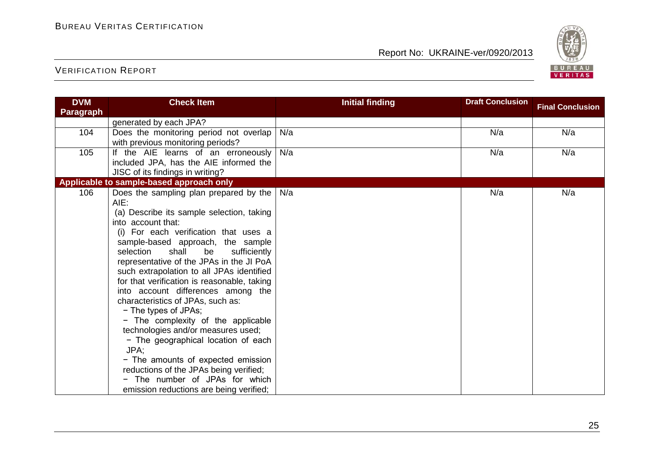

| <b>DVM</b>       | <b>Check Item</b>                                                                                                                                                                                                                                                                                                                                                                                                                                                                                                                                                                                                                                                                                                                                                              | <b>Initial finding</b> | <b>Draft Conclusion</b> | <b>Final Conclusion</b> |
|------------------|--------------------------------------------------------------------------------------------------------------------------------------------------------------------------------------------------------------------------------------------------------------------------------------------------------------------------------------------------------------------------------------------------------------------------------------------------------------------------------------------------------------------------------------------------------------------------------------------------------------------------------------------------------------------------------------------------------------------------------------------------------------------------------|------------------------|-------------------------|-------------------------|
| <b>Paragraph</b> |                                                                                                                                                                                                                                                                                                                                                                                                                                                                                                                                                                                                                                                                                                                                                                                |                        |                         |                         |
|                  | generated by each JPA?                                                                                                                                                                                                                                                                                                                                                                                                                                                                                                                                                                                                                                                                                                                                                         |                        |                         |                         |
| 104              | Does the monitoring period not overlap<br>with previous monitoring periods?                                                                                                                                                                                                                                                                                                                                                                                                                                                                                                                                                                                                                                                                                                    | N/a                    | N/a                     | N/a                     |
| 105              | If the AIE learns of an erroneously<br>included JPA, has the AIE informed the<br>JISC of its findings in writing?                                                                                                                                                                                                                                                                                                                                                                                                                                                                                                                                                                                                                                                              | N/a                    | N/a                     | N/a                     |
|                  | Applicable to sample-based approach only                                                                                                                                                                                                                                                                                                                                                                                                                                                                                                                                                                                                                                                                                                                                       |                        |                         |                         |
| 106              | Does the sampling plan prepared by the<br>AIE:<br>(a) Describe its sample selection, taking<br>into account that:<br>(i) For each verification that uses a<br>sample-based approach, the sample<br>selection<br>shall<br>be<br>sufficiently<br>representative of the JPAs in the JI PoA<br>such extrapolation to all JPAs identified<br>for that verification is reasonable, taking<br>into account differences among the<br>characteristics of JPAs, such as:<br>- The types of JPAs;<br>- The complexity of the applicable<br>technologies and/or measures used;<br>- The geographical location of each<br>JPA;<br>- The amounts of expected emission<br>reductions of the JPAs being verified;<br>- The number of JPAs for which<br>emission reductions are being verified; | N/a                    | N/a                     | N/a                     |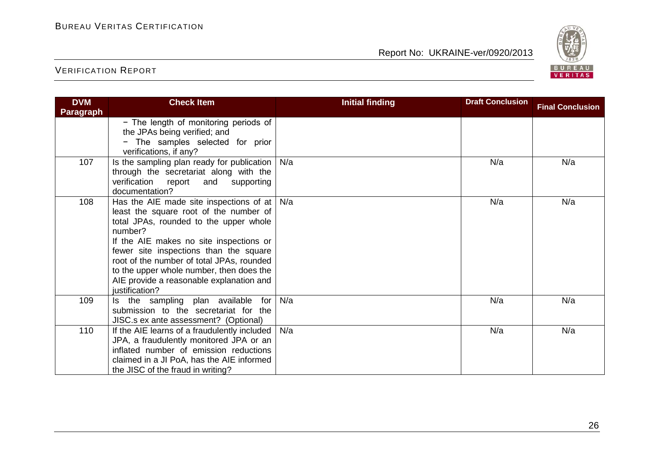

| <b>DVM</b>       | <b>Check Item</b>                                                                                                                                                                                                                                                                                                                                                                            | <b>Initial finding</b> | <b>Draft Conclusion</b> | <b>Final Conclusion</b> |
|------------------|----------------------------------------------------------------------------------------------------------------------------------------------------------------------------------------------------------------------------------------------------------------------------------------------------------------------------------------------------------------------------------------------|------------------------|-------------------------|-------------------------|
| <b>Paragraph</b> |                                                                                                                                                                                                                                                                                                                                                                                              |                        |                         |                         |
|                  | - The length of monitoring periods of<br>the JPAs being verified; and<br>The samples selected for prior<br>verifications, if any?                                                                                                                                                                                                                                                            |                        |                         |                         |
| 107              | Is the sampling plan ready for publication<br>through the secretariat along with the<br>verification report<br>and<br>supporting<br>documentation?                                                                                                                                                                                                                                           | N/a                    | N/a                     | N/a                     |
| 108              | Has the AIE made site inspections of at $  N/a  $<br>least the square root of the number of<br>total JPAs, rounded to the upper whole<br>number?<br>If the AIE makes no site inspections or<br>fewer site inspections than the square<br>root of the number of total JPAs, rounded<br>to the upper whole number, then does the<br>AIE provide a reasonable explanation and<br>justification? |                        | N/a                     | N/a                     |
| 109              | Is the sampling plan available for<br>submission to the secretariat for the<br>JISC.s ex ante assessment? (Optional)                                                                                                                                                                                                                                                                         | N/a                    | N/a                     | N/a                     |
| 110              | If the AIE learns of a fraudulently included<br>JPA, a fraudulently monitored JPA or an<br>inflated number of emission reductions<br>claimed in a JI PoA, has the AIE informed<br>the JISC of the fraud in writing?                                                                                                                                                                          | N/a                    | N/a                     | N/a                     |